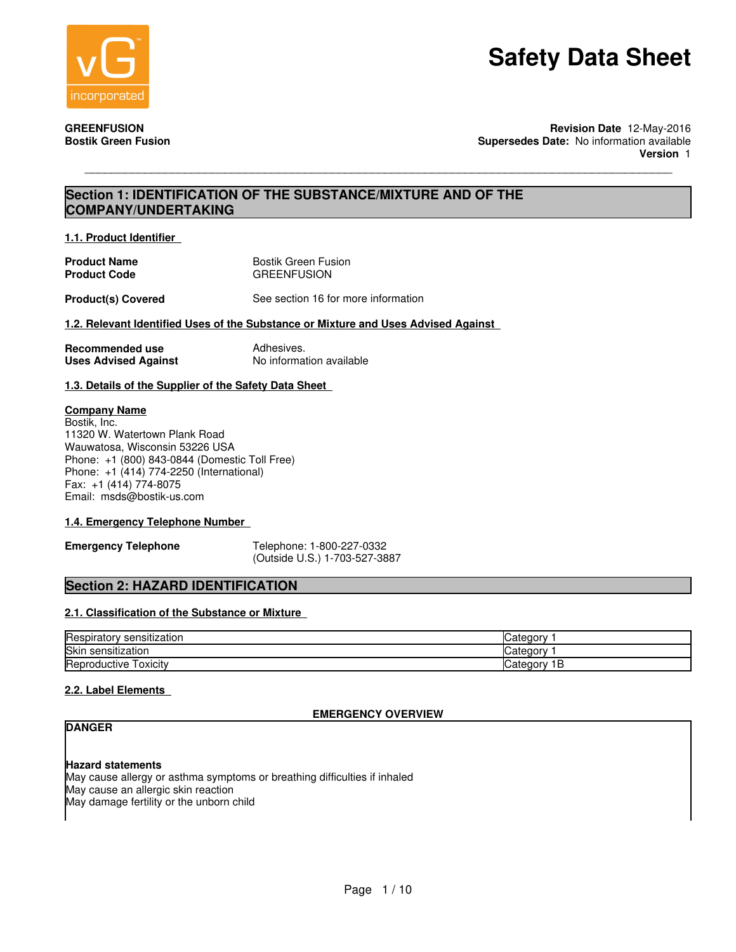

**GREENFUSION Revision Date** 12-May-2016 **Supersedes Date: No information available Version** 1

## **Section 1: IDENTIFICATION OF THE SUBSTANCE/MIXTURE AND OF THE COMPANY/UNDERTAKING**

\_\_\_\_\_\_\_\_\_\_\_\_\_\_\_\_\_\_\_\_\_\_\_\_\_\_\_\_\_\_\_\_\_\_\_\_\_\_\_\_\_\_\_\_\_\_\_\_\_\_\_\_\_\_\_\_\_\_\_\_\_\_\_\_\_\_\_\_\_\_\_\_\_\_\_\_\_\_\_\_\_\_\_\_\_\_\_\_

**1.1. Product Identifier** 

| <b>Product Name</b> | Bostik Green Fusion |
|---------------------|---------------------|
| <b>Product Code</b> | <b>GREENFUSION</b>  |

**Product(s) Covered** See section 16 for more information

#### **1.2. Relevant Identified Uses of the Substance or Mixture and Uses Advised Against**

| Recommended use             | Adhesives.               |
|-----------------------------|--------------------------|
| <b>Uses Advised Against</b> | No information available |

#### **1.3. Details of the Supplier of the Safety Data Sheet**

#### **Company Name**

Bostik, Inc. 11320 W. Watertown Plank Road Wauwatosa, Wisconsin 53226 USA Phone: +1 (800) 843-0844 (Domestic Toll Free) Phone: +1 (414) 774-2250 (International) Fax: +1 (414) 774-8075 Email: msds@bostik-us.com

#### **1.4. Emergency Telephone Number**

**Emergency Telephone** Telephone: 1-800-227-0332 (Outside U.S.) 1-703-527-3887

### **Section 2: HAZARD IDENTIFICATION**

#### **2.1. Classification of the Substance or Mixture**

| -<br>sensitization<br>lHespirator | o۳<br>valeul  |
|-----------------------------------|---------------|
| Skin<br>sensitization             | Categor       |
| Reproductive.<br>l OXICItV        | В<br>Category |

#### **2.2. Label Elements**

### **EMERGENCY OVERVIEW**

## **DANGER**

#### **Hazard statements**

May cause allergy or asthma symptoms or breathing difficulties if inhaled May cause an allergic skin reaction May damage fertility or the unborn child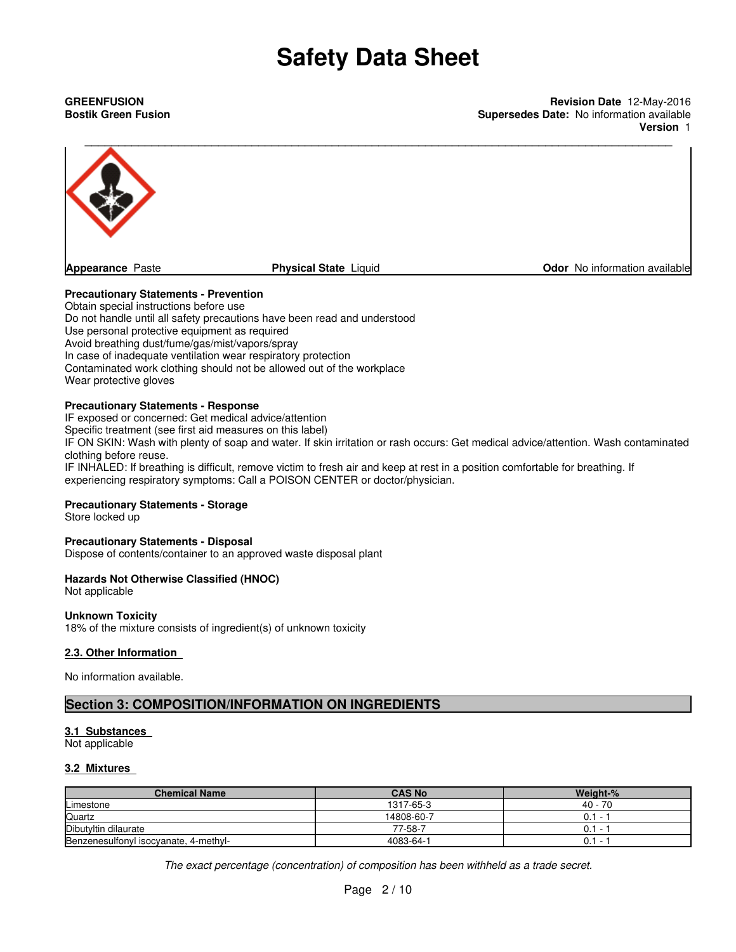**GREENFUSION Revision Date** 12-May-2016 **Bostik Green Fusion Supersedes Date:** No information available **Version** 1



#### **Precautionary Statements - Prevention**

Obtain special instructions before use Do not handle until all safety precautions have been read and understood Use personal protective equipment as required Avoid breathing dust/fume/gas/mist/vapors/spray In case of inadequate ventilation wear respiratory protection Contaminated work clothing should not be allowed out of the workplace Wear protective gloves

#### **Precautionary Statements - Response**

IF exposed or concerned: Get medical advice/attention Specific treatment (see first aid measures on this label)

IF ON SKIN: Wash with plenty of soap and water. If skin irritation or rash occurs: Get medical advice/attention. Wash contaminated clothing before reuse.

IF INHALED: If breathing is difficult, remove victim to fresh air and keep at rest in a position comfortable for breathing. If experiencing respiratory symptoms: Call a POISON CENTER or doctor/physician.

#### **Precautionary Statements - Storage**

Store locked up

#### **Precautionary Statements - Disposal**

Dispose of contents/container to an approved waste disposal plant

#### **Hazards Not Otherwise Classified (HNOC)**

Not applicable

#### **Unknown Toxicity**

18% of the mixture consists of ingredient(s) of unknown toxicity

#### **2.3. Other Information**

No information available.

### **Section 3: COMPOSITION/INFORMATION ON INGREDIENTS**

### **3.1 Substances**

Not applicable

#### **3.2 Mixtures**

| <b>Chemical Name</b>                  | <b>CAS No</b> | Weight-% |
|---------------------------------------|---------------|----------|
| Limestone                             | 1317-65-3     | 40 - 70  |
| Quartz                                | 14808-60-7    | $0.1 -$  |
| Dibutyltin dilaurate                  | 77-58-7       | $0.1 -$  |
| Benzenesulfonyl isocyanate, 4-methyl- | 4083-64-1     | $0.1 -$  |

*The exact percentage (concentration) of composition has been withheld as a trade secret.*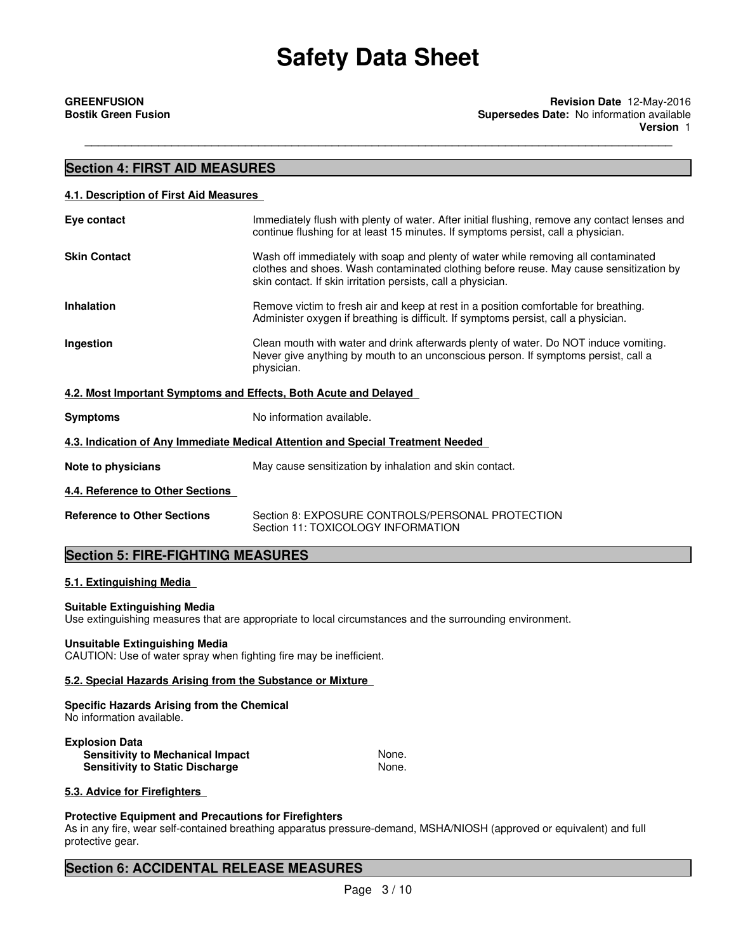\_\_\_\_\_\_\_\_\_\_\_\_\_\_\_\_\_\_\_\_\_\_\_\_\_\_\_\_\_\_\_\_\_\_\_\_\_\_\_\_\_\_\_\_\_\_\_\_\_\_\_\_\_\_\_\_\_\_\_\_\_\_\_\_\_\_\_\_\_\_\_\_\_\_\_\_\_\_\_\_\_\_\_\_\_\_\_\_

## **Section 4: FIRST AID MEASURES 4.1. Description of First Aid Measures Eye contact** Immediately flush with plenty of water. After initial flushing, remove any contact lenses and continue flushing for at least 15 minutes. If symptoms persist, call a physician. **Skin Contact** Wash off immediately with soap and plenty of water while removing all contaminated clothes and shoes. Wash contaminated clothing before reuse. May cause sensitization by skin contact. If skin irritation persists, call a physician. **Inhalation** Remove victim to fresh air and keep at rest in a position comfortable for breathing. Administer oxygen if breathing is difficult. If symptoms persist, call a physician. **Ingestion** Clean mouth with water and drink afterwards plenty of water. Do NOT induce vomiting. Never give anything by mouth to an unconscious person. If symptoms persist, call a physician. **4.2. Most Important Symptoms and Effects, Both Acute and Delayed Symptoms** No information available. **4.3. Indication of Any Immediate Medical Attention and Special Treatment Needed Note to physicians** May cause sensitization by inhalation and skin contact. **4.4. Reference to Other Sections Reference to Other Sections** Section 8: EXPOSURE CONTROLS/PERSONAL PROTECTION Section 11: TOXICOLOGY INFORMATION **Section 5: FIRE-FIGHTING MEASURES**

### **5.1. Extinguishing Media**

#### **Suitable Extinguishing Media**

Use extinguishing measures that are appropriate to local circumstances and the surrounding environment.

#### **Unsuitable Extinguishing Media**

CAUTION: Use of water spray when fighting fire may be inefficient.

#### **5.2. Special Hazards Arising from the Substance or Mixture**

#### **Specific Hazards Arising from the Chemical** No information available.

**Explosion Data Sensitivity to Mechanical Impact None.** None. **Sensitivity to Static Discharge None.** None.

#### **5.3. Advice for Firefighters**

#### **Protective Equipment and Precautions for Firefighters**

As in any fire, wear self-contained breathing apparatus pressure-demand, MSHA/NIOSH (approved or equivalent) and full protective gear.

### **Section 6: ACCIDENTAL RELEASE MEASURES**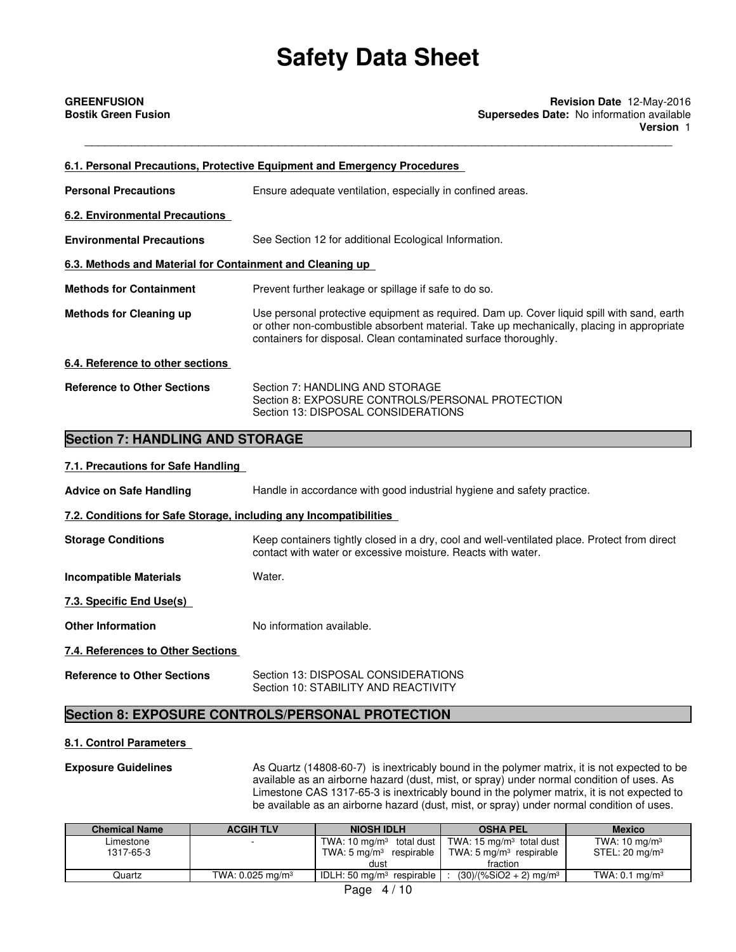\_\_\_\_\_\_\_\_\_\_\_\_\_\_\_\_\_\_\_\_\_\_\_\_\_\_\_\_\_\_\_\_\_\_\_\_\_\_\_\_\_\_\_\_\_\_\_\_\_\_\_\_\_\_\_\_\_\_\_\_\_\_\_\_\_\_\_\_\_\_\_\_\_\_\_\_\_\_\_\_\_\_\_\_\_\_\_\_

**GREENFUSION Revision Date** 12-May-2016 **Bostik Green Fusion Supersedes Date:** No information available **Version** 1

|                                                                   | 6.1. Personal Precautions, Protective Equipment and Emergency Procedures                                                                                                                                                                                   |
|-------------------------------------------------------------------|------------------------------------------------------------------------------------------------------------------------------------------------------------------------------------------------------------------------------------------------------------|
| <b>Personal Precautions</b>                                       | Ensure adequate ventilation, especially in confined areas.                                                                                                                                                                                                 |
| <b>6.2. Environmental Precautions</b>                             |                                                                                                                                                                                                                                                            |
| <b>Environmental Precautions</b>                                  | See Section 12 for additional Ecological Information.                                                                                                                                                                                                      |
| 6.3. Methods and Material for Containment and Cleaning up         |                                                                                                                                                                                                                                                            |
| <b>Methods for Containment</b>                                    | Prevent further leakage or spillage if safe to do so.                                                                                                                                                                                                      |
| <b>Methods for Cleaning up</b>                                    | Use personal protective equipment as required. Dam up. Cover liquid spill with sand, earth<br>or other non-combustible absorbent material. Take up mechanically, placing in appropriate<br>containers for disposal. Clean contaminated surface thoroughly. |
| 6.4. Reference to other sections                                  |                                                                                                                                                                                                                                                            |
| <b>Reference to Other Sections</b>                                | Section 7: HANDLING AND STORAGE<br>Section 8: EXPOSURE CONTROLS/PERSONAL PROTECTION<br>Section 13: DISPOSAL CONSIDERATIONS                                                                                                                                 |
| <b>Section 7: HANDLING AND STORAGE</b>                            |                                                                                                                                                                                                                                                            |
| 7.1. Precautions for Safe Handling                                |                                                                                                                                                                                                                                                            |
| <b>Advice on Safe Handling</b>                                    | Handle in accordance with good industrial hygiene and safety practice.                                                                                                                                                                                     |
| 7.2. Conditions for Safe Storage, including any Incompatibilities |                                                                                                                                                                                                                                                            |
| <b>Storage Conditions</b>                                         | Keep containers tightly closed in a dry, cool and well-ventilated place. Protect from direct<br>contact with water or excessive moisture. Reacts with water.                                                                                               |
| <b>Incompatible Materials</b>                                     | Water.                                                                                                                                                                                                                                                     |
| 7.3. Specific End Use(s)                                          |                                                                                                                                                                                                                                                            |
| <b>Other Information</b>                                          | No information available.                                                                                                                                                                                                                                  |

### **7.4. References to Other Sections**

**Reference to Other Sections** Section 13: DISPOSAL CONSIDERATIONS

Section 10: STABILITY AND REACTIVITY

## **Section 8: EXPOSURE CONTROLS/PERSONAL PROTECTION**

### **8.1. Control Parameters**

**Exposure Guidelines** As Quartz (14808-60-7) is inextricably bound in the polymer matrix, it is not expected to be available as an airborne hazard (dust, mist, or spray) under normal condition of uses. As Limestone CAS 1317-65-3 is inextricably bound in the polymer matrix, it is not expected to be available as an airborne hazard (dust, mist, or spray) under normal condition of uses.

| <b>Chemical Name</b>     | <b>ACGIH TLV</b>               | <b>NIOSH IDLH</b>                  | <b>OSHA PEL</b>                                                                       | <b>Mexico</b>              |
|--------------------------|--------------------------------|------------------------------------|---------------------------------------------------------------------------------------|----------------------------|
| Limestone                | $\overline{\phantom{0}}$       |                                    | TWA: 10 mg/m <sup>3</sup> total dust $\parallel$ TWA: 15 mg/m <sup>3</sup> total dust | TWA: $10 \text{ mg/m}^3$   |
| 1317-65-3                |                                | TWA: $5 \text{ mg/m}^3$ respirable | TWA: 5 mg/m <sup>3</sup> respirable                                                   | STEL: 20 mg/m <sup>3</sup> |
|                          |                                | dust                               | fraction                                                                              |                            |
| Quartz                   | TWA: $0.025$ mg/m <sup>3</sup> | IDLH: 50 $mq/m3$ respirable        | $(30)/(%SiO2 + 2)$ mg/m <sup>3</sup>                                                  | TWA: $0.1 \text{ ma/m}^3$  |
| $\overline{\phantom{a}}$ |                                |                                    |                                                                                       |                            |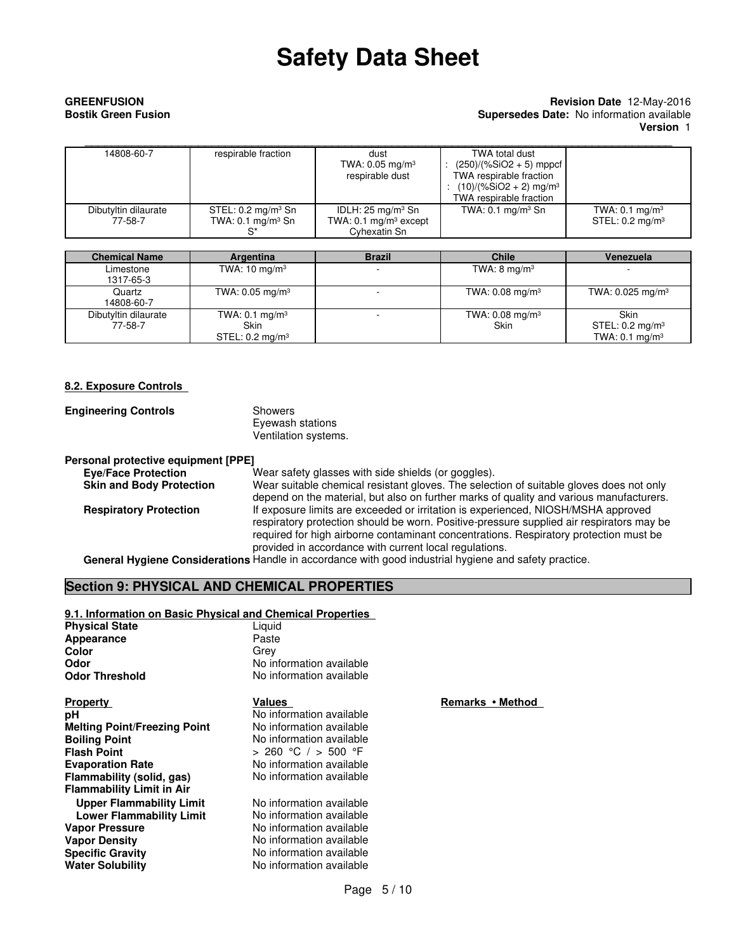#### **GREENFUSION Revision Date** 12-May-2016 **Bostik Green Fusion Supersedes Date:** No information available **Version** 1

| 14808-60-7                      | respirable fraction                                           | dust<br>TWA: 0.05 mg/m <sup>3</sup><br>respirable dust                                   | TWA total dust<br>$(250)/(%SiO2 + 5)$ mppcf<br>TWA respirable fraction<br>: $(10)/(%SiO2 + 2)$ mg/m <sup>3</sup><br>TWA respirable fraction |                                                         |
|---------------------------------|---------------------------------------------------------------|------------------------------------------------------------------------------------------|---------------------------------------------------------------------------------------------------------------------------------------------|---------------------------------------------------------|
| Dibutyltin dilaurate<br>77-58-7 | STEL: $0.2 \text{ mg/m}^3$ Sn<br>TWA: $0.1 \text{ mg/m}^3$ Sn | IDLH: $25 \text{ mg/m}^3 \text{ Sn}$<br>TWA: $0.1 \text{ mg/m}^3$ except<br>Cyhexatin Sn | TWA: $0.1 \text{ mg/m}^3$ Sn                                                                                                                | TWA: $0.1 \text{ mg/m}^3$<br>STEL: $0.2 \text{ mg/m}^3$ |

| <b>Chemical Name</b>            | Argentina                                                       | <b>Brazil</b>            | <b>Chile</b>                       | Venezuela                                                       |
|---------------------------------|-----------------------------------------------------------------|--------------------------|------------------------------------|-----------------------------------------------------------------|
| Limestone<br>1317-65-3          | TWA: $10 \text{ mg/m}^3$                                        | -                        | TWA: $8 \text{ mg/m}^3$            |                                                                 |
| Quartz<br>14808-60-7            | TWA: 0.05 mg/m <sup>3</sup>                                     | $\overline{\phantom{a}}$ | TWA: $0.08 \text{ mg/m}^3$         | TWA: $0.025$ mg/m <sup>3</sup>                                  |
| Dibutyltin dilaurate<br>77-58-7 | TWA: $0.1 \text{ mg/m}^3$<br>Skin<br>STEL: $0.2 \text{ mg/m}^3$ |                          | TWA: $0.08 \text{ mg/m}^3$<br>Skin | Skin<br>STEL: $0.2 \text{ mg/m}^3$<br>TWA: $0.1 \text{ mg/m}^3$ |

#### **8.2. Exposure Controls**

| <b>Engineering Controls</b> | Showers              |
|-----------------------------|----------------------|
|                             | Eyewash stations     |
|                             | Ventilation systems. |

#### **Personal protective equipment [PPE] Eye/Face Protection** Wear safety glasses with side shields (or goggles).

**Skin and Body Protection** Wear suitable chemical resistant gloves. The selection of suitable gloves does not only depend on the material, but also on further marks of quality and various manufacturers. **Respiratory Protection** If exposure limits are exceeded or irritation is experienced, NIOSH/MSHA approved respiratory protection should be worn. Positive-pressure supplied air respirators may be required for high airborne contaminant concentrations. Respiratory protection must be provided in accordance with current local regulations.

**General Hygiene Considerations** Handle in accordance with good industrial hygiene and safety practice.

### **Section 9: PHYSICAL AND CHEMICAL PROPERTIES**

| 9.1. Information on Basic Physical and Chemical Properties |                          |   |
|------------------------------------------------------------|--------------------------|---|
| Physical State                                             | Liquid                   |   |
| Appearance                                                 | Paste                    |   |
| Color                                                      | Grev                     |   |
| Odor                                                       | No information available |   |
| Odor Threshold                                             | No information available |   |
| <b>Property</b>                                            | <b>Values</b>            | E |
| рH                                                         | No information available |   |
| <b>Melting Point/Freezing Point</b>                        | No information available |   |
| <b>Boiling Point</b>                                       | No information available |   |
| Flash Point                                                | > 260 °C / > 500 °F      |   |
| <b>Evaporation Rate</b>                                    | No information available |   |
| Flammability (solid, gas)                                  | No information available |   |
| <b>Flammability Limit in Air</b>                           |                          |   |
| <b>Upper Flammability Limit</b>                            | No information available |   |
| <b>Lower Flammability Limit</b>                            | No information available |   |
| Vapor Pressure                                             | No information available |   |
| <b>Vapor Density</b>                                       | No information available |   |
| Specific Gravity                                           | No information available |   |
| Water Solubility                                           | No information available |   |
|                                                            |                          |   |

**Property Values Remarks • Method**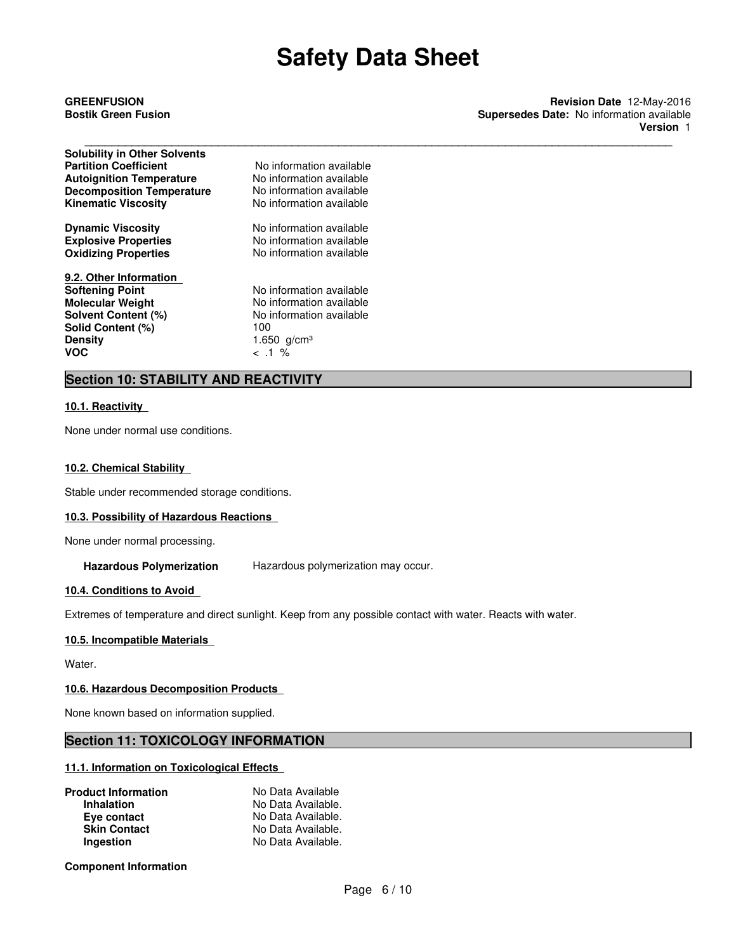**GREENFUSION Revision Date** 12-May-2016 **Bostik Green Fusion Supersedes Date:** No information available **Version** 1

| <b>Solubility in Other Solvents</b> |                          |
|-------------------------------------|--------------------------|
| <b>Partition Coefficient</b>        | No information available |
| <b>Autoignition Temperature</b>     | No information available |
| <b>Decomposition Temperature</b>    | No information available |
| <b>Kinematic Viscosity</b>          | No information available |
| <b>Dynamic Viscosity</b>            | No information available |
| <b>Explosive Properties</b>         | No information available |
| <b>Oxidizing Properties</b>         | No information available |
| 9.2. Other Information              |                          |
| <b>Softening Point</b>              | No information available |
| <b>Molecular Weight</b>             | No information available |
| Solvent Content (%)                 | No information available |
| Solid Content (%)                   | 100                      |
| <b>Density</b>                      | 1.650 $g/cm^{3}$         |
| <b>VOC</b>                          | $< 1\%$                  |

## **Section 10: STABILITY AND REACTIVITY**

#### **10.1. Reactivity**

None under normal use conditions.

#### **10.2. Chemical Stability**

Stable under recommended storage conditions.

#### **10.3. Possibility of Hazardous Reactions**

None under normal processing.

**Hazardous Polymerization** Hazardous polymerization may occur.

#### **10.4. Conditions to Avoid**

Extremes of temperature and direct sunlight. Keep from any possible contact with water. Reacts with water.

#### **10.5. Incompatible Materials**

Water.

#### **10.6. Hazardous Decomposition Products**

None known based on information supplied.

### **Section 11: TOXICOLOGY INFORMATION**

#### **11.1. Information on Toxicological Effects**

| <b>Product Information</b> | No Data Available  |
|----------------------------|--------------------|
| <b>Inhalation</b>          | No Data Available. |
| Eye contact                | No Data Available. |
| <b>Skin Contact</b>        | No Data Available. |
| Ingestion                  | No Data Available. |

**Component Information**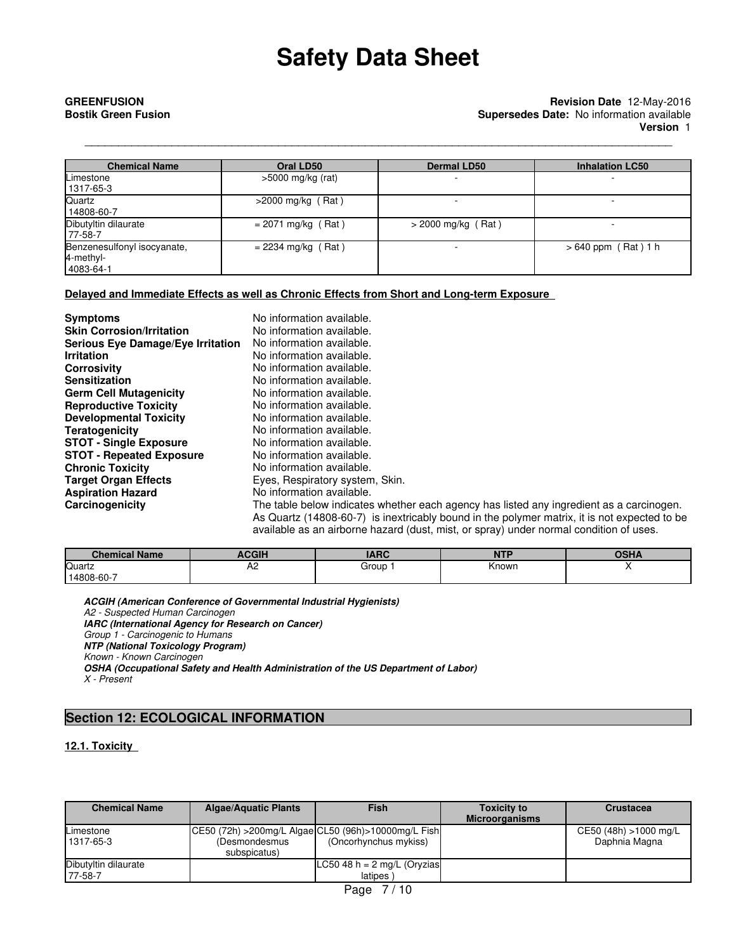#### **GREENFUSION Revision Date** 12-May-2016 **Bostik Green Fusion Supersedes Date:** No information available **Version** 1

| <b>Chemical Name</b>                                  | Oral LD50            | <b>Dermal LD50</b>   | <b>Inhalation LC50</b> |
|-------------------------------------------------------|----------------------|----------------------|------------------------|
| Limestone<br>  1317-65-3                              | $>5000$ mg/kg (rat)  |                      |                        |
| <b>Quartz</b><br>14808-60-7                           | $>2000$ mg/kg (Rat)  |                      |                        |
| Dibutyltin dilaurate<br>177-58-7                      | $= 2071$ mg/kg (Rat) | $>$ 2000 mg/kg (Rat) | ۰                      |
| Benzenesulfonyl isocyanate,<br>4-methyl-<br>4083-64-1 | $= 2234$ mg/kg (Rat) |                      | $>640$ ppm (Rat) 1 h   |

\_\_\_\_\_\_\_\_\_\_\_\_\_\_\_\_\_\_\_\_\_\_\_\_\_\_\_\_\_\_\_\_\_\_\_\_\_\_\_\_\_\_\_\_\_\_\_\_\_\_\_\_\_\_\_\_\_\_\_\_\_\_\_\_\_\_\_\_\_\_\_\_\_\_\_\_\_\_\_\_\_\_\_\_\_\_\_\_

#### **Delayed and Immediate Effects as well as Chronic Effects from Short and Long-term Exposure**

| <b>Symptoms</b>                   | No information available.       |
|-----------------------------------|---------------------------------|
| <b>Skin Corrosion/Irritation</b>  | No information available.       |
| Serious Eye Damage/Eye Irritation | No information available.       |
| <b>Irritation</b>                 | No information available.       |
| <b>Corrosivity</b>                | No information available.       |
| <b>Sensitization</b>              | No information available.       |
| <b>Germ Cell Mutagenicity</b>     | No information available.       |
| <b>Reproductive Toxicity</b>      | No information available.       |
| <b>Developmental Toxicity</b>     | No information available.       |
| <b>Teratogenicity</b>             | No information available.       |
| <b>STOT - Single Exposure</b>     | No information available.       |
| <b>STOT - Repeated Exposure</b>   | No information available.       |
| <b>Chronic Toxicity</b>           | No information available.       |
| <b>Target Organ Effects</b>       | Eyes, Respiratory system, Skin. |
| <b>Aspiration Hazard</b>          | No information available.       |
| Carcinogenicity                   | The table below indicates wheth |
|                                   | As Quartz (14808-60-7) is inext |

**Carcinogenicity** The table below indicates whether each agency has listed any ingredient as a carcinogen. is inextricably bound in the polymer matrix, it is not expected to be available as an airborne hazard (dust, mist, or spray) under normal condition of uses.

| <b>Chemical Name</b> | <b>ACGIH</b> | $\overline{ADC}$<br>⊶An∈ | <b>NIT!</b><br>. | <b>OSHA</b> |
|----------------------|--------------|--------------------------|------------------|-------------|
| Quartz               | A2           | Group                    | Known            |             |
| 14808-60-7           |              |                          |                  |             |

**ACGIH (American Conference of Governmental Industrial Hygienists)** *A2 - Suspected Human Carcinogen* **IARC (International Agency for Research on Cancer)** *Group 1 - Carcinogenic to Humans* **NTP (National Toxicology Program)** *Known - Known Carcinogen* **OSHA (Occupational Safety and Health Administration of the US Department of Labor)** *X - Present*

## **Section 12: ECOLOGICAL INFORMATION**

### **12.1. Toxicity**

| <b>Chemical Name</b>            | <b>Algae/Aquatic Plants</b>                                             | <b>Fish</b>                                        | <b>Toxicity to</b><br><b>Microorganisms</b> | <b>Crustacea</b>                       |
|---------------------------------|-------------------------------------------------------------------------|----------------------------------------------------|---------------------------------------------|----------------------------------------|
| Limestone<br>1317-65-3          | CE50 (72h) > 200mg/L Algae CL50 (96h) > 10000mg/L Fish<br>(Desmondesmus | (Oncorhynchus mykiss)                              |                                             | CE50 (48h) >1000 mg/L<br>Daphnia Magna |
|                                 | subspicatus)                                                            |                                                    |                                             |                                        |
| Dibutyltin dilaurate<br>77-58-7 |                                                                         | LC50 48 h = $2 \text{ mg/L}$ (Oryzias<br>latipes ) |                                             |                                        |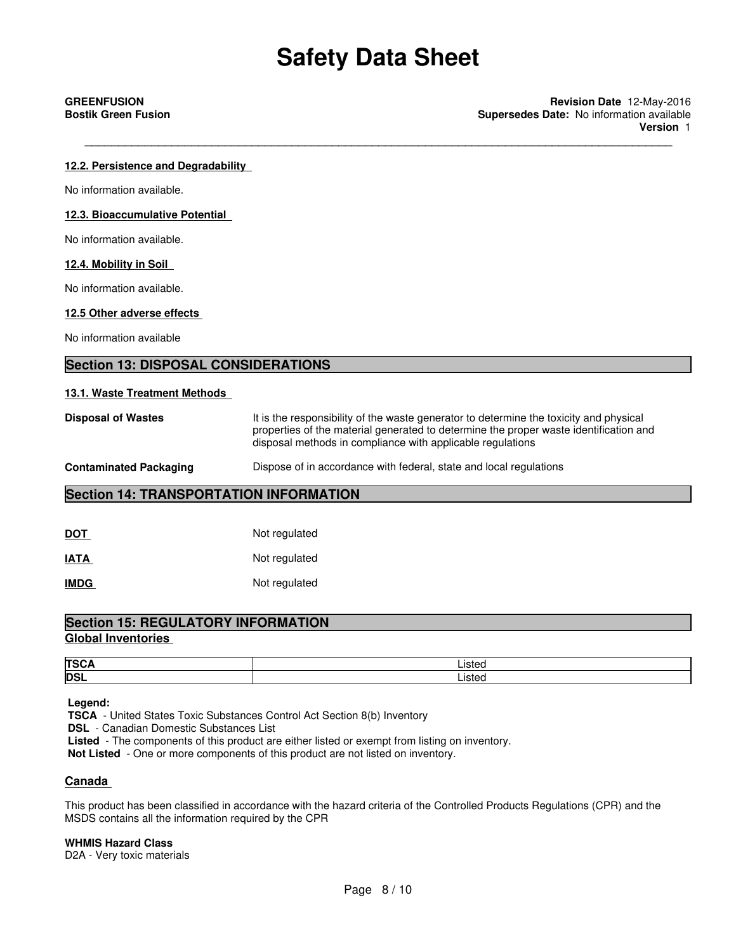\_\_\_\_\_\_\_\_\_\_\_\_\_\_\_\_\_\_\_\_\_\_\_\_\_\_\_\_\_\_\_\_\_\_\_\_\_\_\_\_\_\_\_\_\_\_\_\_\_\_\_\_\_\_\_\_\_\_\_\_\_\_\_\_\_\_\_\_\_\_\_\_\_\_\_\_\_\_\_\_\_\_\_\_\_\_\_\_

**GREENFUSION Revision Date** 12-May-2016 **Bostik Green Fusion Supersedes Date:** No information available **Version** 1

#### **12.2. Persistence and Degradability**

No information available.

#### **12.3. Bioaccumulative Potential**

No information available.

#### **12.4. Mobility in Soil**

No information available.

#### **12.5 Other adverse effects**

No information available

#### **Section 13: DISPOSAL CONSIDERATIONS**

#### **13.1. Waste Treatment Methods**

**Disposal of Wastes** It is the responsibility of the waste generator to determine the toxicity and physical properties of the material generated to determine the proper waste identification and disposal methods in compliance with applicable regulations

#### **Contaminated Packaging <b>Dispose** of in accordance with federal, state and local regulations

#### **Section 14: TRANSPORTATION INFORMATION**

| <b>DOT</b>  | Not regulated |
|-------------|---------------|
| <b>IATA</b> | Not regulated |
| <b>IMDG</b> | Not regulated |

## **Section 15: REGULATORY INFORMATION**

## **Global Inventories**

| <b>TSC</b> | ieto. |
|------------|-------|
| <b>DSI</b> | ietor |

 **Legend:**

 **TSCA** - United States Toxic Substances Control Act Section 8(b) Inventory

 **DSL** - Canadian Domestic Substances List

 **Listed** - The components of this product are either listed or exempt from listing on inventory.

 **Not Listed** - One or more components of this product are not listed on inventory.

### **Canada**

This product has been classified in accordance with the hazard criteria of the Controlled Products Regulations (CPR) and the MSDS contains all the information required by the CPR

#### **WHMIS Hazard Class**

D2A - Very toxic materials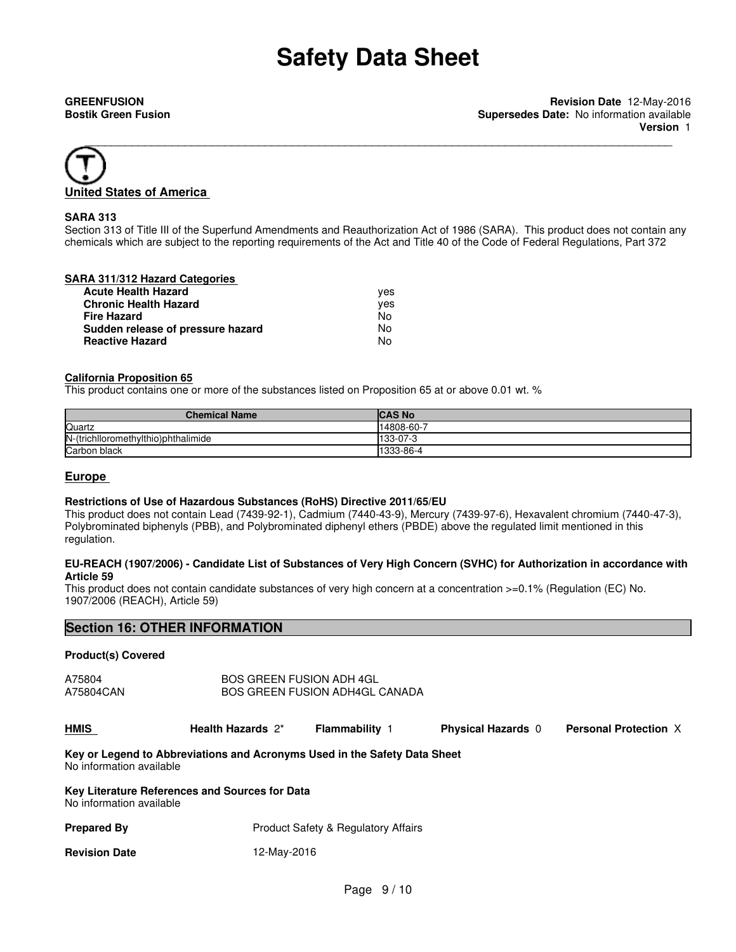

#### **SARA 313**

Section 313 of Title III of the Superfund Amendments and Reauthorization Act of 1986 (SARA). This product does not contain any chemicals which are subject to the reporting requirements of the Act and Title 40 of the Code of Federal Regulations, Part 372

#### **SARA 311/312 Hazard Categories**

| <b>Acute Health Hazard</b>        | ves |
|-----------------------------------|-----|
| <b>Chronic Health Hazard</b>      | ves |
| <b>Fire Hazard</b>                | No. |
| Sudden release of pressure hazard | No  |
| <b>Reactive Hazard</b>            | No  |

#### **California Proposition 65**

This product contains one or more of the substances listed on Proposition 65 at or above 0.01 wt. %

| <b>Chemical Name</b>                | ICAS No   |
|-------------------------------------|-----------|
| Quartz                              | 14808-60- |
| N-(trichlloromethylthio)phthalimide | 133-07-3  |
| Carbon black                        | 1333-86-4 |

#### **Europe**

#### **Restrictions of Use of Hazardous Substances (RoHS) Directive 2011/65/EU**

This product does not contain Lead (7439-92-1), Cadmium (7440-43-9), Mercury (7439-97-6), Hexavalent chromium (7440-47-3), Polybrominated biphenyls (PBB), and Polybrominated diphenyl ethers (PBDE) above the regulated limit mentioned in this regulation.

#### **EU-REACH (1907/2006) - Candidate List of Substances of Very High Concern (SVHC) for Authorization in accordance with Article 59**

This product does not contain candidate substances of very high concern at a concentration >=0.1% (Regulation (EC) No. 1907/2006 (REACH), Article 59)

### **Section 16: OTHER INFORMATION**

#### **Product(s) Covered**

A75804 A75804CAN BOS GREEN FUSION ADH 4GL BOS GREEN FUSION ADH4GL CANADA

| <b>HMIS</b> | Health Hazards 2* | Flammabilitv | <b>Physical Hazards</b> | <b>Personal Protection X</b> |
|-------------|-------------------|--------------|-------------------------|------------------------------|
|-------------|-------------------|--------------|-------------------------|------------------------------|

#### **Key or Legend to Abbreviations and Acronyms Used in the Safety Data Sheet** No information available

#### **Key Literature References and Sources for Data** No information available

| <b>Prepared By</b>   | <b>Product Safety &amp; Regulatory Affairs</b> |
|----------------------|------------------------------------------------|
| <b>Revision Date</b> | 12-May-2016                                    |